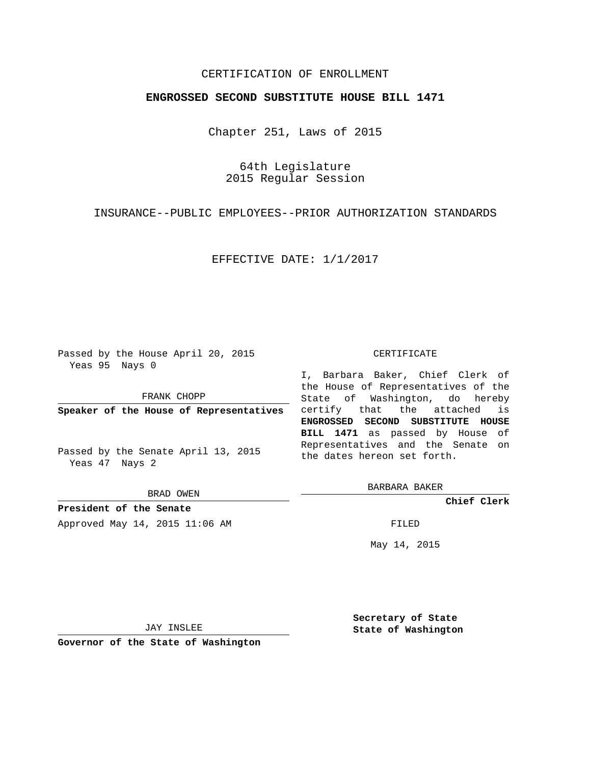## CERTIFICATION OF ENROLLMENT

## **ENGROSSED SECOND SUBSTITUTE HOUSE BILL 1471**

Chapter 251, Laws of 2015

64th Legislature 2015 Regular Session

INSURANCE--PUBLIC EMPLOYEES--PRIOR AUTHORIZATION STANDARDS

EFFECTIVE DATE: 1/1/2017

Passed by the House April 20, 2015 Yeas 95 Nays 0

FRANK CHOPP

Passed by the Senate April 13, 2015 Yeas 47 Nays 2

BRAD OWEN

**President of the Senate** Approved May 14, 2015 11:06 AM FILED

#### CERTIFICATE

**Speaker of the House of Representatives** certify that the attached is I, Barbara Baker, Chief Clerk of the House of Representatives of the State of Washington, do hereby **ENGROSSED SECOND SUBSTITUTE HOUSE BILL 1471** as passed by House of Representatives and the Senate on the dates hereon set forth.

BARBARA BAKER

**Chief Clerk**

May 14, 2015

JAY INSLEE

**Governor of the State of Washington**

**Secretary of State State of Washington**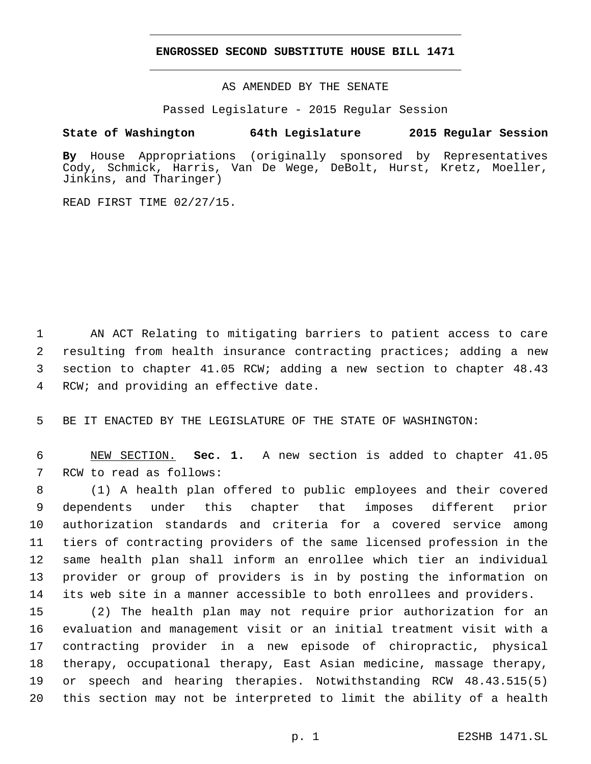### **ENGROSSED SECOND SUBSTITUTE HOUSE BILL 1471**

AS AMENDED BY THE SENATE

Passed Legislature - 2015 Regular Session

# **State of Washington 64th Legislature 2015 Regular Session**

**By** House Appropriations (originally sponsored by Representatives Cody, Schmick, Harris, Van De Wege, DeBolt, Hurst, Kretz, Moeller, Jinkins, and Tharinger)

READ FIRST TIME 02/27/15.

 AN ACT Relating to mitigating barriers to patient access to care resulting from health insurance contracting practices; adding a new section to chapter 41.05 RCW; adding a new section to chapter 48.43 4 RCW; and providing an effective date.

BE IT ENACTED BY THE LEGISLATURE OF THE STATE OF WASHINGTON:

 NEW SECTION. **Sec. 1.** A new section is added to chapter 41.05 7 RCW to read as follows:

 (1) A health plan offered to public employees and their covered dependents under this chapter that imposes different prior authorization standards and criteria for a covered service among tiers of contracting providers of the same licensed profession in the same health plan shall inform an enrollee which tier an individual provider or group of providers is in by posting the information on its web site in a manner accessible to both enrollees and providers.

 (2) The health plan may not require prior authorization for an evaluation and management visit or an initial treatment visit with a contracting provider in a new episode of chiropractic, physical therapy, occupational therapy, East Asian medicine, massage therapy, or speech and hearing therapies. Notwithstanding RCW 48.43.515(5) this section may not be interpreted to limit the ability of a health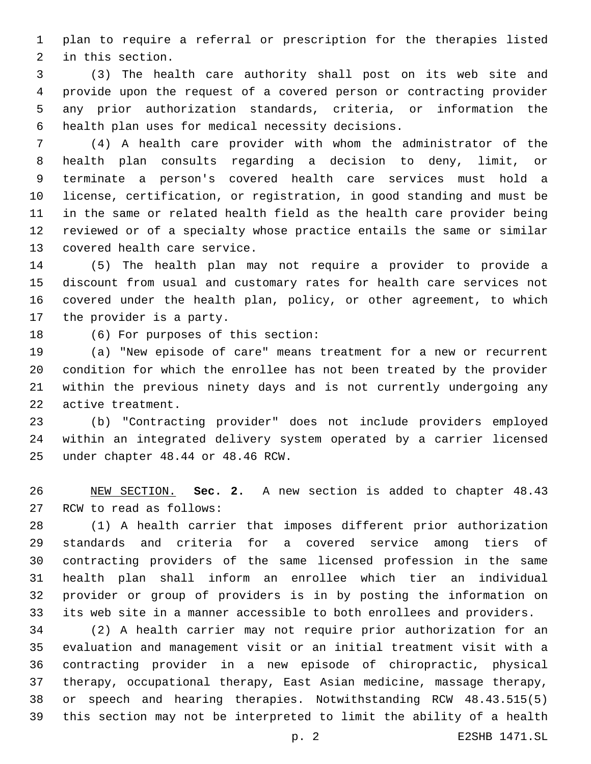plan to require a referral or prescription for the therapies listed 2 in this section.

 (3) The health care authority shall post on its web site and provide upon the request of a covered person or contracting provider any prior authorization standards, criteria, or information the 6 health plan uses for medical necessity decisions.

 (4) A health care provider with whom the administrator of the health plan consults regarding a decision to deny, limit, or terminate a person's covered health care services must hold a license, certification, or registration, in good standing and must be in the same or related health field as the health care provider being reviewed or of a specialty whose practice entails the same or similar 13 covered health care service.

 (5) The health plan may not require a provider to provide a discount from usual and customary rates for health care services not covered under the health plan, policy, or other agreement, to which 17 the provider is a party.

18 (6) For purposes of this section:

 (a) "New episode of care" means treatment for a new or recurrent condition for which the enrollee has not been treated by the provider within the previous ninety days and is not currently undergoing any 22 active treatment.

 (b) "Contracting provider" does not include providers employed within an integrated delivery system operated by a carrier licensed 25 under chapter 48.44 or 48.46 RCW.

 NEW SECTION. **Sec. 2.** A new section is added to chapter 48.43 27 RCW to read as follows:

 (1) A health carrier that imposes different prior authorization standards and criteria for a covered service among tiers of contracting providers of the same licensed profession in the same health plan shall inform an enrollee which tier an individual provider or group of providers is in by posting the information on its web site in a manner accessible to both enrollees and providers.

 (2) A health carrier may not require prior authorization for an evaluation and management visit or an initial treatment visit with a contracting provider in a new episode of chiropractic, physical therapy, occupational therapy, East Asian medicine, massage therapy, or speech and hearing therapies. Notwithstanding RCW 48.43.515(5) this section may not be interpreted to limit the ability of a health